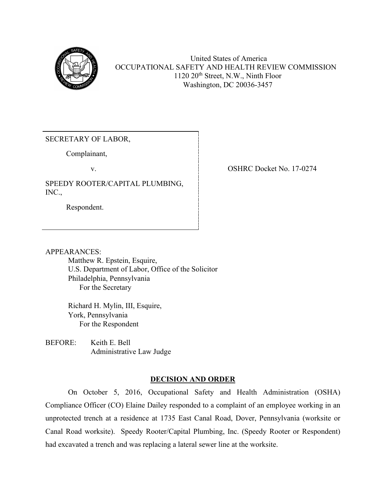

United States of America OCCUPATIONAL SAFETY AND HEALTH REVIEW COMMISSION 1120 20th Street, N.W., Ninth Floor Washington, DC 20036-3457

## SECRETARY OF LABOR,

Complainant,

SPEEDY ROOTER/CAPITAL PLUMBING, INC.,

Respondent.

v. COSHRC Docket No. 17-0274

APPEARANCES:

Matthew R. Epstein, Esquire, U.S. Department of Labor, Office of the Solicitor Philadelphia, Pennsylvania For the Secretary

Richard H. Mylin, III, Esquire, York, Pennsylvania For the Respondent

BEFORE: Keith E. Bell Administrative Law Judge

# **DECISION AND ORDER**

On October 5, 2016, Occupational Safety and Health Administration (OSHA) Compliance Officer (CO) Elaine Dailey responded to a complaint of an employee working in an unprotected trench at a residence at 1735 East Canal Road, Dover, Pennsylvania (worksite or Canal Road worksite). Speedy Rooter/Capital Plumbing, Inc. (Speedy Rooter or Respondent) had excavated a trench and was replacing a lateral sewer line at the worksite.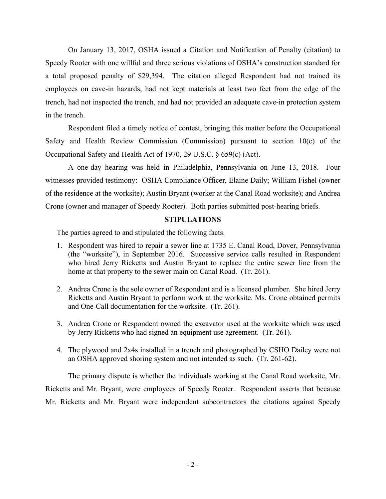On January 13, 2017, OSHA issued a Citation and Notification of Penalty (citation) to Speedy Rooter with one willful and three serious violations of OSHA's construction standard for a total proposed penalty of \$29,394. The citation alleged Respondent had not trained its employees on cave-in hazards, had not kept materials at least two feet from the edge of the trench, had not inspected the trench, and had not provided an adequate cave-in protection system in the trench.

Respondent filed a timely notice of contest, bringing this matter before the Occupational Safety and Health Review Commission (Commission) pursuant to section  $10(c)$  of the Occupational Safety and Health Act of 1970, 29 U.S.C. § 659(c) (Act).

A one-day hearing was held in Philadelphia, Pennsylvania on June 13, 2018. Four witnesses provided testimony: OSHA Compliance Officer, Elaine Daily; William Fishel (owner of the residence at the worksite); Austin Bryant (worker at the Canal Road worksite); and Andrea Crone (owner and manager of Speedy Rooter). Both parties submitted post-hearing briefs.

## **STIPULATIONS**

The parties agreed to and stipulated the following facts.

- 1. Respondent was hired to repair a sewer line at 1735 E. Canal Road, Dover, Pennsylvania (the "worksite"), in September 2016. Successive service calls resulted in Respondent who hired Jerry Ricketts and Austin Bryant to replace the entire sewer line from the home at that property to the sewer main on Canal Road. (Tr. 261).
- 2. Andrea Crone is the sole owner of Respondent and is a licensed plumber. She hired Jerry Ricketts and Austin Bryant to perform work at the worksite. Ms. Crone obtained permits and One-Call documentation for the worksite. (Tr. 261).
- 3. Andrea Crone or Respondent owned the excavator used at the worksite which was used by Jerry Ricketts who had signed an equipment use agreement. (Tr. 261).
- 4. The plywood and 2x4s installed in a trench and photographed by CSHO Dailey were not an OSHA approved shoring system and not intended as such. (Tr. 261-62).

 The primary dispute is whether the individuals working at the Canal Road worksite, Mr. Ricketts and Mr. Bryant, were employees of Speedy Rooter. Respondent asserts that because Mr. Ricketts and Mr. Bryant were independent subcontractors the citations against Speedy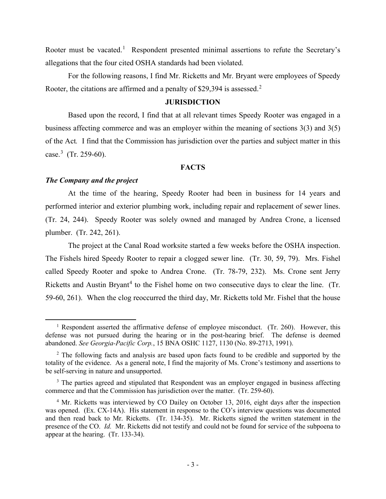Rooter must be vacated.<sup>[1](#page-2-0)</sup> Respondent presented minimal assertions to refute the Secretary's allegations that the four cited OSHA standards had been violated.

For the following reasons, I find Mr. Ricketts and Mr. Bryant were employees of Speedy Rooter, the citations are affirmed and a penalty of \$[2](#page-2-1)9,394 is assessed.<sup>2</sup>

## **JURISDICTION**

Based upon the record, I find that at all relevant times Speedy Rooter was engaged in a business affecting commerce and was an employer within the meaning of sections 3(3) and 3(5) of the Act*.* I find that the Commission has jurisdiction over the parties and subject matter in this case.[3](#page-2-2) (Tr. 259-60).

### **FACTS**

## *The Company and the project*

At the time of the hearing, Speedy Rooter had been in business for 14 years and performed interior and exterior plumbing work, including repair and replacement of sewer lines. (Tr. 24, 244). Speedy Rooter was solely owned and managed by Andrea Crone, a licensed plumber. (Tr. 242, 261).

The project at the Canal Road worksite started a few weeks before the OSHA inspection. The Fishels hired Speedy Rooter to repair a clogged sewer line. (Tr. 30, 59, 79). Mrs. Fishel called Speedy Rooter and spoke to Andrea Crone. (Tr. 78-79, 232). Ms. Crone sent Jerry Ricketts and Austin Bryant<sup>[4](#page-2-3)</sup> to the Fishel home on two consecutive days to clear the line. (Tr. 59-60, 261). When the clog reoccurred the third day, Mr. Ricketts told Mr. Fishel that the house

<span id="page-2-0"></span><sup>&</sup>lt;sup>1</sup> Respondent asserted the affirmative defense of employee misconduct. (Tr. 260). However, this defense was not pursued during the hearing or in the post-hearing brief. The defense is deemed abandoned. *See Georgia-Pacific Corp.*, 15 BNA OSHC 1127, 1130 (No. 89-2713, 1991).

<span id="page-2-1"></span><sup>&</sup>lt;sup>2</sup> The following facts and analysis are based upon facts found to be credible and supported by the totality of the evidence. As a general note, I find the majority of Ms. Crone's testimony and assertions to be self-serving in nature and unsupported.

<span id="page-2-2"></span><sup>&</sup>lt;sup>3</sup> The parties agreed and stipulated that Respondent was an employer engaged in business affecting commerce and that the Commission has jurisdiction over the matter. (Tr. 259-60).

<span id="page-2-3"></span><sup>&</sup>lt;sup>4</sup> Mr. Ricketts was interviewed by CO Dailey on October 13, 2016, eight days after the inspection was opened. (Ex. CX-14A). His statement in response to the CO's interview questions was documented and then read back to Mr. Ricketts. (Tr. 134-35). Mr. Ricketts signed the written statement in the presence of the CO. *Id.* Mr. Ricketts did not testify and could not be found for service of the subpoena to appear at the hearing. (Tr. 133-34).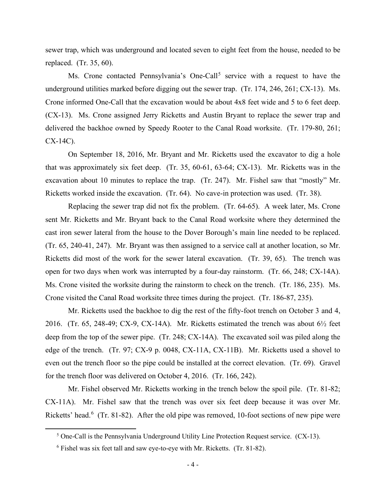sewer trap, which was underground and located seven to eight feet from the house, needed to be replaced. (Tr. 35, 60).

Ms. Crone contacted Pennsylvania's One-Call<sup>[5](#page-3-0)</sup> service with a request to have the underground utilities marked before digging out the sewer trap. (Tr. 174, 246, 261; CX-13). Ms. Crone informed One-Call that the excavation would be about 4x8 feet wide and 5 to 6 feet deep. (CX-13). Ms. Crone assigned Jerry Ricketts and Austin Bryant to replace the sewer trap and delivered the backhoe owned by Speedy Rooter to the Canal Road worksite. (Tr. 179-80, 261; CX-14C).

On September 18, 2016, Mr. Bryant and Mr. Ricketts used the excavator to dig a hole that was approximately six feet deep. (Tr. 35, 60-61, 63-64; CX-13). Mr. Ricketts was in the excavation about 10 minutes to replace the trap. (Tr. 247). Mr. Fishel saw that "mostly" Mr. Ricketts worked inside the excavation. (Tr. 64). No cave-in protection was used. (Tr. 38).

Replacing the sewer trap did not fix the problem. (Tr. 64-65). A week later, Ms. Crone sent Mr. Ricketts and Mr. Bryant back to the Canal Road worksite where they determined the cast iron sewer lateral from the house to the Dover Borough's main line needed to be replaced. (Tr. 65, 240-41, 247). Mr. Bryant was then assigned to a service call at another location, so Mr. Ricketts did most of the work for the sewer lateral excavation. (Tr. 39, 65). The trench was open for two days when work was interrupted by a four-day rainstorm. (Tr. 66, 248; CX-14A). Ms. Crone visited the worksite during the rainstorm to check on the trench. (Tr. 186, 235). Ms. Crone visited the Canal Road worksite three times during the project. (Tr. 186-87, 235).

Mr. Ricketts used the backhoe to dig the rest of the fifty-foot trench on October 3 and 4, 2016. (Tr. 65, 248-49; CX-9, CX-14A). Mr. Ricketts estimated the trench was about  $6\frac{1}{2}$  feet deep from the top of the sewer pipe. (Tr. 248; CX-14A). The excavated soil was piled along the edge of the trench. (Tr. 97; CX-9 p. 0048, CX-11A, CX-11B). Mr. Ricketts used a shovel to even out the trench floor so the pipe could be installed at the correct elevation. (Tr. 69). Gravel for the trench floor was delivered on October 4, 2016. (Tr. 166, 242).

Mr. Fishel observed Mr. Ricketts working in the trench below the spoil pile. (Tr. 81-82; CX-11A). Mr. Fishel saw that the trench was over six feet deep because it was over Mr. Ricketts' head.<sup>[6](#page-3-1)</sup> (Tr. 81-82). After the old pipe was removed, 10-foot sections of new pipe were

<span id="page-3-0"></span> $<sup>5</sup>$  One-Call is the Pennsylvania Underground Utility Line Protection Request service. (CX-13).</sup>

<span id="page-3-1"></span> $6$  Fishel was six feet tall and saw eye-to-eye with Mr. Ricketts. (Tr. 81-82).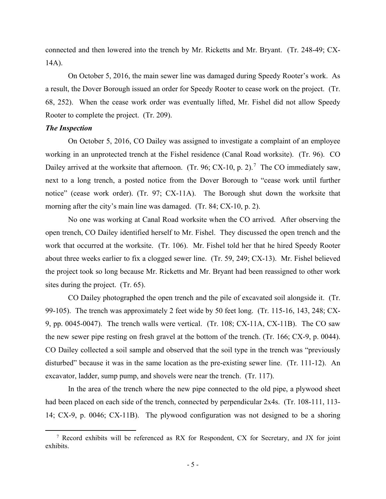connected and then lowered into the trench by Mr. Ricketts and Mr. Bryant. (Tr. 248-49; CX-14A).

On October 5, 2016, the main sewer line was damaged during Speedy Rooter's work. As a result, the Dover Borough issued an order for Speedy Rooter to cease work on the project. (Tr. 68, 252). When the cease work order was eventually lifted, Mr. Fishel did not allow Speedy Rooter to complete the project. (Tr. 209).

## *The Inspection*

On October 5, 2016, CO Dailey was assigned to investigate a complaint of an employee working in an unprotected trench at the Fishel residence (Canal Road worksite). (Tr. 96). CO Dailey arrived at the worksite that afternoon. (Tr. 96; CX-10, p. 2).<sup>[7](#page-4-0)</sup> The CO immediately saw, next to a long trench, a posted notice from the Dover Borough to "cease work until further notice" (cease work order). (Tr. 97; CX-11A). The Borough shut down the worksite that morning after the city's main line was damaged. (Tr. 84; CX-10, p. 2).

No one was working at Canal Road worksite when the CO arrived. After observing the open trench, CO Dailey identified herself to Mr. Fishel. They discussed the open trench and the work that occurred at the worksite. (Tr. 106). Mr. Fishel told her that he hired Speedy Rooter about three weeks earlier to fix a clogged sewer line. (Tr. 59, 249; CX-13). Mr. Fishel believed the project took so long because Mr. Ricketts and Mr. Bryant had been reassigned to other work sites during the project. (Tr. 65).

CO Dailey photographed the open trench and the pile of excavated soil alongside it. (Tr. 99-105). The trench was approximately 2 feet wide by 50 feet long. (Tr. 115-16, 143, 248; CX-9, pp. 0045-0047). The trench walls were vertical. (Tr. 108; CX-11A, CX-11B). The CO saw the new sewer pipe resting on fresh gravel at the bottom of the trench. (Tr. 166; CX-9, p. 0044). CO Dailey collected a soil sample and observed that the soil type in the trench was "previously disturbed" because it was in the same location as the pre-existing sewer line. (Tr. 111-12). An excavator, ladder, sump pump, and shovels were near the trench. (Tr. 117).

In the area of the trench where the new pipe connected to the old pipe, a plywood sheet had been placed on each side of the trench, connected by perpendicular 2x4s. (Tr. 108-111, 113-14; CX-9, p. 0046; CX-11B). The plywood configuration was not designed to be a shoring

<span id="page-4-0"></span> $7$  Record exhibits will be referenced as RX for Respondent, CX for Secretary, and JX for joint exhibits.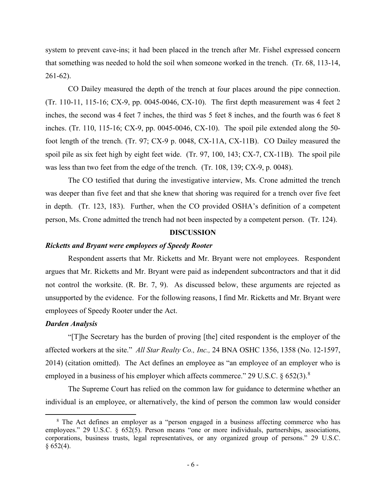system to prevent cave-ins; it had been placed in the trench after Mr. Fishel expressed concern that something was needed to hold the soil when someone worked in the trench. (Tr. 68, 113-14, 261-62).

CO Dailey measured the depth of the trench at four places around the pipe connection. (Tr. 110-11, 115-16; CX-9, pp. 0045-0046, CX-10). The first depth measurement was 4 feet 2 inches, the second was 4 feet 7 inches, the third was 5 feet 8 inches, and the fourth was 6 feet 8 inches. (Tr. 110, 115-16; CX-9, pp. 0045-0046, CX-10). The spoil pile extended along the 50 foot length of the trench. (Tr. 97; CX-9 p. 0048, CX-11A, CX-11B). CO Dailey measured the spoil pile as six feet high by eight feet wide. (Tr. 97, 100, 143; CX-7, CX-11B). The spoil pile was less than two feet from the edge of the trench. (Tr. 108, 139; CX-9, p. 0048).

The CO testified that during the investigative interview, Ms. Crone admitted the trench was deeper than five feet and that she knew that shoring was required for a trench over five feet in depth. (Tr. 123, 183). Further, when the CO provided OSHA's definition of a competent person, Ms. Crone admitted the trench had not been inspected by a competent person. (Tr. 124).

## **DISCUSSION**

## *Ricketts and Bryant were employees of Speedy Rooter*

 Respondent asserts that Mr. Ricketts and Mr. Bryant were not employees. Respondent argues that Mr. Ricketts and Mr. Bryant were paid as independent subcontractors and that it did not control the worksite. (R. Br. 7, 9). As discussed below, these arguments are rejected as unsupported by the evidence. For the following reasons, I find Mr. Ricketts and Mr. Bryant were employees of Speedy Rooter under the Act.

#### *Darden Analysis*

"[T]he Secretary has the burden of proving [the] cited respondent is the employer of the affected workers at the site." *All Star Realty Co., Inc.,* 24 BNA OSHC 1356, 1358 (No. 12-1597, 2014) (citation omitted). The Act defines an employee as "an employee of an employer who is employed in a business of his employer which affects commerce." 29 U.S.C. § 652(3).<sup>[8](#page-5-0)</sup>

The Supreme Court has relied on the common law for guidance to determine whether an individual is an employee, or alternatively, the kind of person the common law would consider

<span id="page-5-0"></span><sup>&</sup>lt;sup>8</sup> The Act defines an employer as a "person engaged in a business affecting commerce who has employees." 29 U.S.C. § 652(5). Person means "one or more individuals, partnerships, associations, corporations, business trusts, legal representatives, or any organized group of persons." 29 U.S.C.  $§ 652(4).$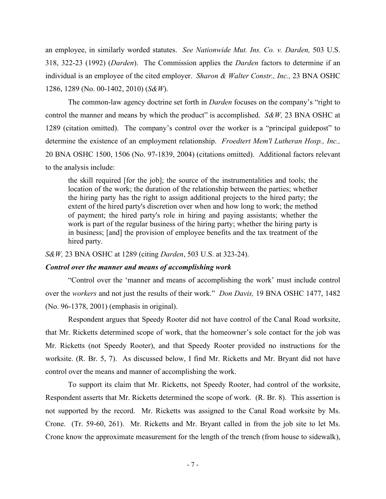an employee, in similarly worded statutes. *See Nationwide Mut. Ins. Co. v. Darden,* 503 U.S. 318, 322-23 (1992) (*Darden*). The Commission applies the *Darden* factors to determine if an individual is an employee of the cited employer. *Sharon & Walter Constr., Inc.,* 23 BNA OSHC 1286, 1289 (No. 00-1402, 2010) (*S&W*).

The common-law agency doctrine set forth in *Darden* focuses on the company's "right to control the manner and means by which the product" is accomplished. *S&W,* 23 BNA OSHC at 1289 (citation omitted). The company's control over the worker is a "principal guidepost" to determine the existence of an employment relationship. *Froedtert Mem'l Lutheran Hosp., Inc.,*  20 BNA OSHC 1500, 1506 (No. 97-1839, 2004) (citations omitted). Additional factors relevant to the analysis include:

the skill required [for the job]; the source of the instrumentalities and tools; the location of the work; the duration of the relationship between the parties; whether the hiring party has the right to assign additional projects to the hired party; the extent of the hired party's discretion over when and how long to work; the method of payment; the hired party's role in hiring and paying assistants; whether the work is part of the regular business of the hiring party; whether the hiring party is in business; [and] the provision of employee benefits and the tax treatment of the hired party.

*S&W,* 23 BNA OSHC at 1289 (citing *Darden*, 503 U.S. at 323-24).

### *Control over the manner and means of accomplishing work*

"Control over the 'manner and means of accomplishing the work' must include control over the *workers* and not just the results of their work." *Don Davis,* 19 BNA OSHC 1477, 1482 (No. 96-1378, 2001) (emphasis in original).

Respondent argues that Speedy Rooter did not have control of the Canal Road worksite, that Mr. Ricketts determined scope of work, that the homeowner's sole contact for the job was Mr. Ricketts (not Speedy Rooter), and that Speedy Rooter provided no instructions for the worksite. (R. Br. 5, 7). As discussed below, I find Mr. Ricketts and Mr. Bryant did not have control over the means and manner of accomplishing the work.

 To support its claim that Mr. Ricketts, not Speedy Rooter, had control of the worksite, Respondent asserts that Mr. Ricketts determined the scope of work. (R. Br. 8). This assertion is not supported by the record. Mr. Ricketts was assigned to the Canal Road worksite by Ms. Crone. (Tr. 59-60, 261). Mr. Ricketts and Mr. Bryant called in from the job site to let Ms. Crone know the approximate measurement for the length of the trench (from house to sidewalk),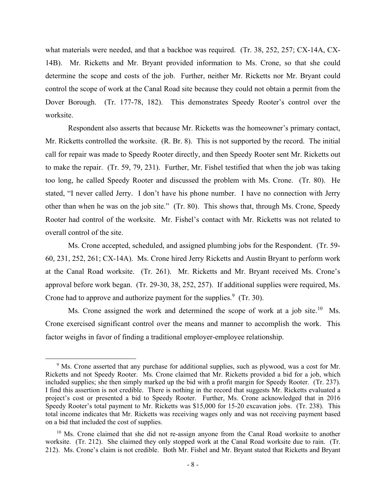what materials were needed, and that a backhoe was required. (Tr. 38, 252, 257; CX-14A, CX-14B). Mr. Ricketts and Mr. Bryant provided information to Ms. Crone, so that she could determine the scope and costs of the job. Further, neither Mr. Ricketts nor Mr. Bryant could control the scope of work at the Canal Road site because they could not obtain a permit from the Dover Borough. (Tr. 177-78, 182). This demonstrates Speedy Rooter's control over the worksite.

 Respondent also asserts that because Mr. Ricketts was the homeowner's primary contact, Mr. Ricketts controlled the worksite. (R. Br. 8). This is not supported by the record. The initial call for repair was made to Speedy Rooter directly, and then Speedy Rooter sent Mr. Ricketts out to make the repair. (Tr. 59, 79, 231). Further, Mr. Fishel testified that when the job was taking too long, he called Speedy Rooter and discussed the problem with Ms. Crone. (Tr. 80). He stated, "I never called Jerry. I don't have his phone number. I have no connection with Jerry other than when he was on the job site." (Tr. 80). This shows that, through Ms. Crone, Speedy Rooter had control of the worksite. Mr. Fishel's contact with Mr. Ricketts was not related to overall control of the site.

Ms. Crone accepted, scheduled, and assigned plumbing jobs for the Respondent. (Tr. 59- 60, 231, 252, 261; CX-14A). Ms. Crone hired Jerry Ricketts and Austin Bryant to perform work at the Canal Road worksite. (Tr. 261). Mr. Ricketts and Mr. Bryant received Ms. Crone's approval before work began. (Tr. 29-30, 38, 252, 257). If additional supplies were required, Ms. Crone had to approve and authorize payment for the supplies. $9$  (Tr. 30).

Ms. Crone assigned the work and determined the scope of work at a job site.<sup>10</sup> Ms. Crone exercised significant control over the means and manner to accomplish the work. This factor weighs in favor of finding a traditional employer-employee relationship.

<span id="page-7-0"></span><sup>&</sup>lt;sup>9</sup> Ms. Crone asserted that any purchase for additional supplies, such as plywood, was a cost for Mr. Ricketts and not Speedy Rooter. Ms. Crone claimed that Mr. Ricketts provided a bid for a job, which included supplies; she then simply marked up the bid with a profit margin for Speedy Rooter. (Tr. 237). I find this assertion is not credible. There is nothing in the record that suggests Mr. Ricketts evaluated a project's cost or presented a bid to Speedy Rooter. Further, Ms. Crone acknowledged that in 2016 Speedy Rooter's total payment to Mr. Ricketts was \$15,000 for 15-20 excavation jobs. (Tr. 238). This total income indicates that Mr. Ricketts was receiving wages only and was not receiving payment based on a bid that included the cost of supplies.

<span id="page-7-1"></span><sup>&</sup>lt;sup>10</sup> Ms. Crone claimed that she did not re-assign anyone from the Canal Road worksite to another worksite. (Tr. 212). She claimed they only stopped work at the Canal Road worksite due to rain. (Tr. 212). Ms. Crone's claim is not credible. Both Mr. Fishel and Mr. Bryant stated that Ricketts and Bryant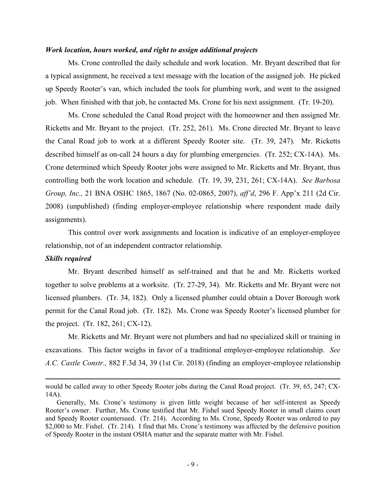## *Work location, hours worked, and right to assign additional projects*

Ms. Crone controlled the daily schedule and work location. Mr. Bryant described that for a typical assignment, he received a text message with the location of the assigned job. He picked up Speedy Rooter's van, which included the tools for plumbing work, and went to the assigned job. When finished with that job, he contacted Ms. Crone for his next assignment. (Tr. 19-20).

Ms. Crone scheduled the Canal Road project with the homeowner and then assigned Mr. Ricketts and Mr. Bryant to the project. (Tr. 252, 261). Ms. Crone directed Mr. Bryant to leave the Canal Road job to work at a different Speedy Rooter site. (Tr. 39, 247). Mr. Ricketts described himself as on-call 24 hours a day for plumbing emergencies. (Tr. 252; CX-14A). Ms. Crone determined which Speedy Rooter jobs were assigned to Mr. Ricketts and Mr. Bryant, thus controlling both the work location and schedule. (Tr. 19, 39, 231, 261; CX-14A). *See Barbosa Group, Inc.,* 21 BNA OSHC 1865, 1867 (No. 02-0865, 2007), *aff'd*, 296 F. App'x 211 (2d Cir. 2008) (unpublished) (finding employer-employee relationship where respondent made daily assignments).

This control over work assignments and location is indicative of an employer-employee relationship, not of an independent contractor relationship.

### *Skills required*

Mr. Bryant described himself as self-trained and that he and Mr. Ricketts worked together to solve problems at a worksite. (Tr. 27-29, 34). Mr. Ricketts and Mr. Bryant were not licensed plumbers. (Tr. 34, 182). Only a licensed plumber could obtain a Dover Borough work permit for the Canal Road job. (Tr. 182). Ms. Crone was Speedy Rooter's licensed plumber for the project. (Tr. 182, 261; CX-12).

Mr. Ricketts and Mr. Bryant were not plumbers and had no specialized skill or training in excavations. This factor weighs in favor of a traditional employer-employee relationship. *See A.C. Castle Constr.,* 882 F.3d 34, 39 (1st Cir. 2018) (finding an employer-employee relationship

would be called away to other Speedy Rooter jobs during the Canal Road project. (Tr. 39, 65, 247; CX-14A).

Generally, Ms. Crone's testimony is given little weight because of her self-interest as Speedy Rooter's owner. Further, Ms. Crone testified that Mr. Fishel sued Speedy Rooter in small claims court and Speedy Rooter countersued. (Tr. 214). According to Ms. Crone, Speedy Rooter was ordered to pay \$2,000 to Mr. Fishel. (Tr. 214). I find that Ms. Crone's testimony was affected by the defensive position of Speedy Rooter in the instant OSHA matter and the separate matter with Mr. Fishel.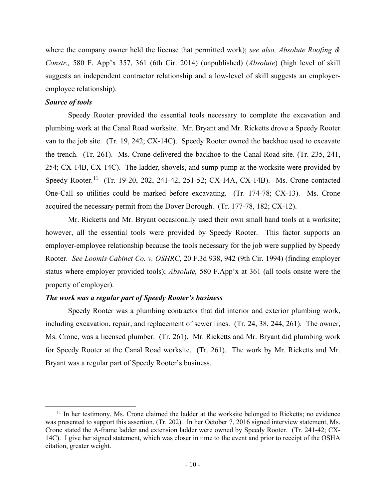where the company owner held the license that permitted work); *see also, Absolute Roofing & Constr.,* 580 F. App'x 357, 361 (6th Cir. 2014) (unpublished) (*Absolute*) (high level of skill suggests an independent contractor relationship and a low-level of skill suggests an employeremployee relationship).

## *Source of tools*

Speedy Rooter provided the essential tools necessary to complete the excavation and plumbing work at the Canal Road worksite. Mr. Bryant and Mr. Ricketts drove a Speedy Rooter van to the job site. (Tr. 19, 242; CX-14C). Speedy Rooter owned the backhoe used to excavate the trench. (Tr. 261). Ms. Crone delivered the backhoe to the Canal Road site. (Tr. 235, 241, 254; CX-14B, CX-14C). The ladder, shovels, and sump pump at the worksite were provided by Speedy Rooter.<sup>[11](#page-9-0)</sup> (Tr. 19-20, 202, 241-42, 251-52; CX-14A, CX-14B). Ms. Crone contacted One-Call so utilities could be marked before excavating. (Tr. 174-78; CX-13). Ms. Crone acquired the necessary permit from the Dover Borough. (Tr. 177-78, 182; CX-12).

Mr. Ricketts and Mr. Bryant occasionally used their own small hand tools at a worksite; however, all the essential tools were provided by Speedy Rooter. This factor supports an employer-employee relationship because the tools necessary for the job were supplied by Speedy Rooter. *See Loomis Cabinet Co. v. OSHRC*, 20 F.3d 938, 942 (9th Cir. 1994) (finding employer status where employer provided tools); *Absolute,* 580 F.App'x at 361 (all tools onsite were the property of employer).

## *The work was a regular part of Speedy Rooter's business*

Speedy Rooter was a plumbing contractor that did interior and exterior plumbing work, including excavation, repair, and replacement of sewer lines. (Tr. 24, 38, 244, 261). The owner, Ms. Crone, was a licensed plumber. (Tr. 261). Mr. Ricketts and Mr. Bryant did plumbing work for Speedy Rooter at the Canal Road worksite. (Tr. 261). The work by Mr. Ricketts and Mr. Bryant was a regular part of Speedy Rooter's business.

<span id="page-9-0"></span><sup>&</sup>lt;sup>11</sup> In her testimony, Ms. Crone claimed the ladder at the worksite belonged to Ricketts; no evidence was presented to support this assertion. (Tr. 202). In her October 7, 2016 signed interview statement, Ms. Crone stated the A-frame ladder and extension ladder were owned by Speedy Rooter. (Tr. 241-42; CX-14C). I give her signed statement, which was closer in time to the event and prior to receipt of the OSHA citation, greater weight.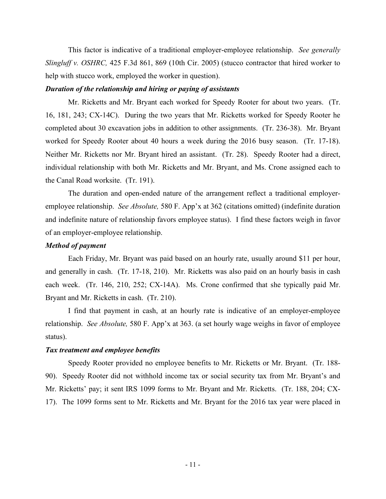This factor is indicative of a traditional employer-employee relationship. *See generally Slingluff v. OSHRC,* 425 F.3d 861, 869 (10th Cir. 2005) (stucco contractor that hired worker to help with stucco work, employed the worker in question).

## *Duration of the relationship and hiring or paying of assistants*

Mr. Ricketts and Mr. Bryant each worked for Speedy Rooter for about two years. (Tr. 16, 181, 243; CX-14C). During the two years that Mr. Ricketts worked for Speedy Rooter he completed about 30 excavation jobs in addition to other assignments. (Tr. 236-38). Mr. Bryant worked for Speedy Rooter about 40 hours a week during the 2016 busy season. (Tr. 17-18). Neither Mr. Ricketts nor Mr. Bryant hired an assistant. (Tr. 28). Speedy Rooter had a direct, individual relationship with both Mr. Ricketts and Mr. Bryant, and Ms. Crone assigned each to the Canal Road worksite. (Tr. 191).

The duration and open-ended nature of the arrangement reflect a traditional employeremployee relationship. *See Absolute,* 580 F. App'x at 362 (citations omitted) (indefinite duration and indefinite nature of relationship favors employee status). I find these factors weigh in favor of an employer-employee relationship.

## *Method of payment*

Each Friday, Mr. Bryant was paid based on an hourly rate, usually around \$11 per hour, and generally in cash. (Tr. 17-18, 210). Mr. Ricketts was also paid on an hourly basis in cash each week. (Tr. 146, 210, 252; CX-14A). Ms. Crone confirmed that she typically paid Mr. Bryant and Mr. Ricketts in cash. (Tr. 210).

I find that payment in cash, at an hourly rate is indicative of an employer-employee relationship. *See Absolute,* 580 F. App'x at 363. (a set hourly wage weighs in favor of employee status).

## *Tax treatment and employee benefits*

 Speedy Rooter provided no employee benefits to Mr. Ricketts or Mr. Bryant. (Tr. 188- 90). Speedy Rooter did not withhold income tax or social security tax from Mr. Bryant's and Mr. Ricketts' pay; it sent IRS 1099 forms to Mr. Bryant and Mr. Ricketts. (Tr. 188, 204; CX-17). The 1099 forms sent to Mr. Ricketts and Mr. Bryant for the 2016 tax year were placed in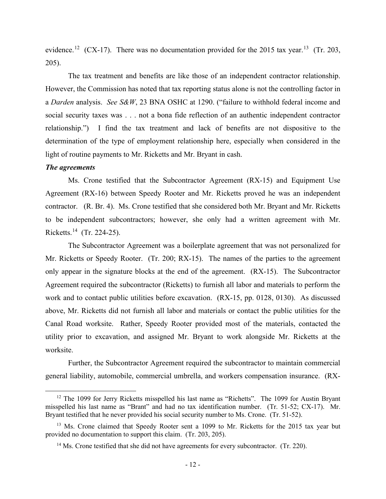evidence.<sup>[12](#page-11-0)</sup> (CX-17). There was no documentation provided for the 2015 tax year.<sup>13</sup> (Tr. 203, 205).

The tax treatment and benefits are like those of an independent contractor relationship. However, the Commission has noted that tax reporting status alone is not the controlling factor in a *Darden* analysis. *See S&W*, 23 BNA OSHC at 1290. ("failure to withhold federal income and social security taxes was . . . not a bona fide reflection of an authentic independent contractor relationship.") I find the tax treatment and lack of benefits are not dispositive to the determination of the type of employment relationship here, especially when considered in the light of routine payments to Mr. Ricketts and Mr. Bryant in cash.

#### *The agreements*

Ms. Crone testified that the Subcontractor Agreement (RX-15) and Equipment Use Agreement (RX-16) between Speedy Rooter and Mr. Ricketts proved he was an independent contractor. (R. Br. 4). Ms. Crone testified that she considered both Mr. Bryant and Mr. Ricketts to be independent subcontractors; however, she only had a written agreement with Mr. Ricketts. [14](#page-11-2) (Tr. 224-25).

 The Subcontractor Agreement was a boilerplate agreement that was not personalized for Mr. Ricketts or Speedy Rooter. (Tr. 200; RX-15). The names of the parties to the agreement only appear in the signature blocks at the end of the agreement. (RX-15). The Subcontractor Agreement required the subcontractor (Ricketts) to furnish all labor and materials to perform the work and to contact public utilities before excavation. (RX-15, pp. 0128, 0130). As discussed above, Mr. Ricketts did not furnish all labor and materials or contact the public utilities for the Canal Road worksite. Rather, Speedy Rooter provided most of the materials, contacted the utility prior to excavation, and assigned Mr. Bryant to work alongside Mr. Ricketts at the worksite.

Further, the Subcontractor Agreement required the subcontractor to maintain commercial general liability, automobile, commercial umbrella, and workers compensation insurance. (RX-

<span id="page-11-0"></span><sup>&</sup>lt;sup>12</sup> The 1099 for Jerry Ricketts misspelled his last name as "Richetts". The 1099 for Austin Bryant misspelled his last name as "Brant" and had no tax identification number. (Tr. 51-52; CX-17). Mr. Bryant testified that he never provided his social security number to Ms. Crone. (Tr. 51-52).

<span id="page-11-2"></span><span id="page-11-1"></span><sup>&</sup>lt;sup>13</sup> Ms. Crone claimed that Speedy Rooter sent a 1099 to Mr. Ricketts for the 2015 tax year but provided no documentation to support this claim. (Tr. 203, 205).

 $14$  Ms. Crone testified that she did not have agreements for every subcontractor. (Tr. 220).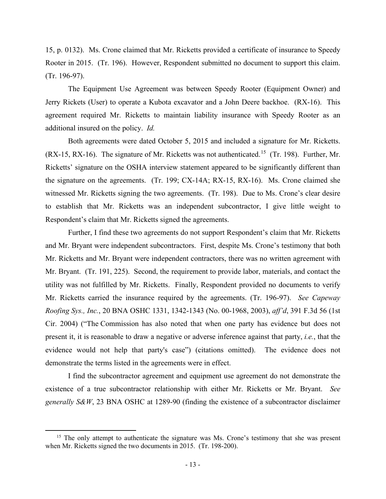15, p. 0132). Ms. Crone claimed that Mr. Ricketts provided a certificate of insurance to Speedy Rooter in 2015. (Tr. 196). However, Respondent submitted no document to support this claim. (Tr. 196-97).

The Equipment Use Agreement was between Speedy Rooter (Equipment Owner) and Jerry Rickets (User) to operate a Kubota excavator and a John Deere backhoe. (RX-16). This agreement required Mr. Ricketts to maintain liability insurance with Speedy Rooter as an additional insured on the policy. *Id.*

 Both agreements were dated October 5, 2015 and included a signature for Mr. Ricketts.  $(RX-15, RX-16)$  $(RX-15, RX-16)$  $(RX-15, RX-16)$ . The signature of Mr. Ricketts was not authenticated.<sup>15</sup> (Tr. 198). Further, Mr. Ricketts' signature on the OSHA interview statement appeared to be significantly different than the signature on the agreements. (Tr. 199; CX-14A; RX-15, RX-16). Ms. Crone claimed she witnessed Mr. Ricketts signing the two agreements. (Tr. 198). Due to Ms. Crone's clear desire to establish that Mr. Ricketts was an independent subcontractor, I give little weight to Respondent's claim that Mr. Ricketts signed the agreements.

 Further, I find these two agreements do not support Respondent's claim that Mr. Ricketts and Mr. Bryant were independent subcontractors. First, despite Ms. Crone's testimony that both Mr. Ricketts and Mr. Bryant were independent contractors, there was no written agreement with Mr. Bryant. (Tr. 191, 225). Second, the requirement to provide labor, materials, and contact the utility was not fulfilled by Mr. Ricketts. Finally, Respondent provided no documents to verify Mr. Ricketts carried the insurance required by the agreements. (Tr. 196-97). *See Capeway Roofing Sys., Inc.*, 20 BNA OSHC 1331, 1342-1343 (No. 00-1968, 2003), *aff'd*, 391 F.3d 56 (1st Cir. 2004) ("The Commission has also noted that when one party has evidence but does not present it, it is reasonable to draw a negative or adverse inference against that party, *i.e.*, that the evidence would not help that party's case") (citations omitted). The evidence does not demonstrate the terms listed in the agreements were in effect.

I find the subcontractor agreement and equipment use agreement do not demonstrate the existence of a true subcontractor relationship with either Mr. Ricketts or Mr. Bryant. *See generally S&W*, 23 BNA OSHC at 1289-90 (finding the existence of a subcontractor disclaimer

<span id="page-12-0"></span><sup>&</sup>lt;sup>15</sup> The only attempt to authenticate the signature was Ms. Crone's testimony that she was present when Mr. Ricketts signed the two documents in 2015. (Tr. 198-200).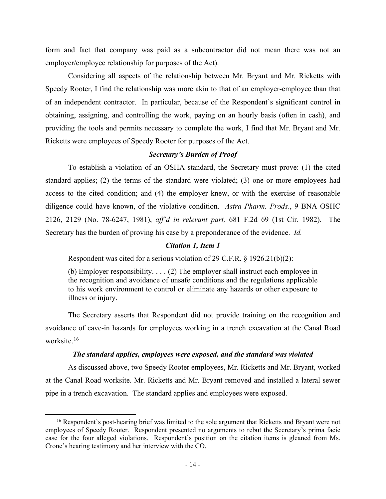form and fact that company was paid as a subcontractor did not mean there was not an employer/employee relationship for purposes of the Act).

 Considering all aspects of the relationship between Mr. Bryant and Mr. Ricketts with Speedy Rooter, I find the relationship was more akin to that of an employer-employee than that of an independent contractor. In particular, because of the Respondent's significant control in obtaining, assigning, and controlling the work, paying on an hourly basis (often in cash), and providing the tools and permits necessary to complete the work, I find that Mr. Bryant and Mr. Ricketts were employees of Speedy Rooter for purposes of the Act.

## *Secretary's Burden of Proof*

To establish a violation of an OSHA standard, the Secretary must prove: (1) the cited standard applies; (2) the terms of the standard were violated; (3) one or more employees had access to the cited condition; and (4) the employer knew, or with the exercise of reasonable diligence could have known, of the violative condition. *Astra Pharm. Prods*., 9 BNA OSHC 2126, 2129 (No. 78-6247, 1981), *aff'd in relevant part,* 681 F.2d 69 (1st Cir. 1982). The Secretary has the burden of proving his case by a preponderance of the evidence. *Id.*

## *Citation 1, Item 1*

Respondent was cited for a serious violation of 29 C.F.R. § 1926.21(b)(2):

(b) Employer responsibility. . . . (2) The employer shall instruct each employee in the recognition and avoidance of unsafe conditions and the regulations applicable to his work environment to control or eliminate any hazards or other exposure to illness or injury.

The Secretary asserts that Respondent did not provide training on the recognition and avoidance of cave-in hazards for employees working in a trench excavation at the Canal Road worksite.[16](#page-13-0)

## *The standard applies, employees were exposed, and the standard was violated*

 As discussed above, two Speedy Rooter employees, Mr. Ricketts and Mr. Bryant, worked at the Canal Road worksite. Mr. Ricketts and Mr. Bryant removed and installed a lateral sewer pipe in a trench excavation. The standard applies and employees were exposed.

<span id="page-13-0"></span><sup>&</sup>lt;sup>16</sup> Respondent's post-hearing brief was limited to the sole argument that Ricketts and Bryant were not employees of Speedy Rooter. Respondent presented no arguments to rebut the Secretary's prima facie case for the four alleged violations. Respondent's position on the citation items is gleaned from Ms. Crone's hearing testimony and her interview with the CO.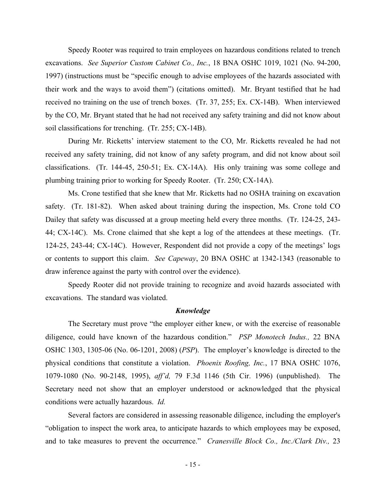Speedy Rooter was required to train employees on hazardous conditions related to trench excavations. *See Superior Custom Cabinet Co., Inc.*, 18 BNA OSHC 1019, 1021 (No. 94-200, 1997) (instructions must be "specific enough to advise employees of the hazards associated with their work and the ways to avoid them") (citations omitted). Mr. Bryant testified that he had received no training on the use of trench boxes. (Tr. 37, 255; Ex. CX-14B). When interviewed by the CO, Mr. Bryant stated that he had not received any safety training and did not know about soil classifications for trenching. (Tr. 255; CX-14B).

During Mr. Ricketts' interview statement to the CO, Mr. Ricketts revealed he had not received any safety training, did not know of any safety program, and did not know about soil classifications. (Tr. 144-45, 250-51; Ex. CX-14A). His only training was some college and plumbing training prior to working for Speedy Rooter. (Tr. 250; CX-14A).

Ms. Crone testified that she knew that Mr. Ricketts had no OSHA training on excavation safety. (Tr. 181-82). When asked about training during the inspection, Ms. Crone told CO Dailey that safety was discussed at a group meeting held every three months. (Tr. 124-25, 243- 44; CX-14C). Ms. Crone claimed that she kept a log of the attendees at these meetings. (Tr. 124-25, 243-44; CX-14C). However, Respondent did not provide a copy of the meetings' logs or contents to support this claim. *See Capeway*, 20 BNA OSHC at 1342-1343 (reasonable to draw inference against the party with control over the evidence).

Speedy Rooter did not provide training to recognize and avoid hazards associated with excavations. The standard was violated.

#### *Knowledge*

The Secretary must prove "the employer either knew, or with the exercise of reasonable diligence, could have known of the hazardous condition." *PSP Monotech Indus.,* 22 BNA OSHC 1303, 1305-06 (No. 06-1201, 2008) (*PSP*). The employer's knowledge is directed to the physical conditions that constitute a violation. *Phoenix Roofing, Inc.*, 17 BNA OSHC 1076, 1079-1080 (No. 90-2148, 1995), *aff'd,* 79 F.3d 1146 (5th Cir. 1996) (unpublished). The Secretary need not show that an employer understood or acknowledged that the physical conditions were actually hazardous. *Id.*

Several factors are considered in assessing reasonable diligence, including the employer's "obligation to inspect the work area, to anticipate hazards to which employees may be exposed, and to take measures to prevent the occurrence." *Cranesville Block Co., Inc./Clark Div.,* 23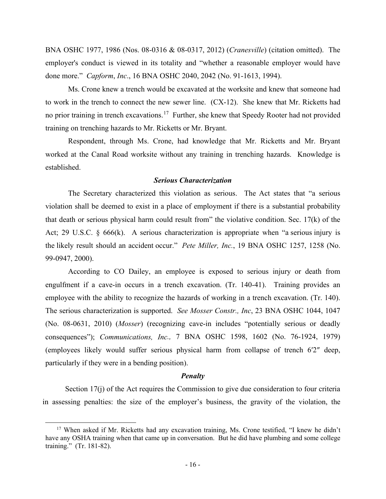BNA OSHC 1977, 1986 (Nos. 08-0316 & 08-0317, 2012) (*Cranesville*) (citation omitted). The employer's conduct is viewed in its totality and "whether a reasonable employer would have done more." *Capform*, *Inc*., 16 BNA OSHC 2040, 2042 (No. 91-1613, 1994).

Ms. Crone knew a trench would be excavated at the worksite and knew that someone had to work in the trench to connect the new sewer line. (CX-12). She knew that Mr. Ricketts had no prior training in trench excavations.[17](#page-15-0) Further, she knew that Speedy Rooter had not provided training on trenching hazards to Mr. Ricketts or Mr. Bryant.

Respondent, through Ms. Crone, had knowledge that Mr. Ricketts and Mr. Bryant worked at the Canal Road worksite without any training in trenching hazards. Knowledge is established.

## *Serious Characterization*

The Secretary characterized this violation as serious. The Act states that "a serious violation shall be deemed to exist in a place of employment if there is a substantial probability that death or serious physical harm could result from" the violative condition. Sec. 17(k) of the Act; 29 U.S.C. § 666(k). A serious characterization is appropriate when "a serious injury is the likely result should an accident occur." *Pete Miller, Inc.*, 19 BNA OSHC 1257, 1258 (No. 99-0947, 2000).

According to CO Dailey, an employee is exposed to serious injury or death from engulfment if a cave-in occurs in a trench excavation. (Tr. 140-41). Training provides an employee with the ability to recognize the hazards of working in a trench excavation. (Tr. 140). The serious characterization is supported. *See Mosser Constr., Inc*, 23 BNA OSHC 1044, 1047 (No. 08-0631, 2010) (*Mosser*) (recognizing cave-in includes "potentially serious or deadly consequences"); *Communications, Inc.,* 7 BNA OSHC 1598, 1602 (No. 76-1924, 1979) (employees likely would suffer serious physical harm from collapse of trench 6′2″ deep, particularly if they were in a bending position).

#### *Penalty*

Section 17(j) of the Act requires the Commission to give due consideration to four criteria in assessing penalties: the size of the employer's business, the gravity of the violation, the

<span id="page-15-0"></span><sup>&</sup>lt;sup>17</sup> When asked if Mr. Ricketts had any excavation training, Ms. Crone testified, "I knew he didn't have any OSHA training when that came up in conversation. But he did have plumbing and some college training." (Tr. 181-82).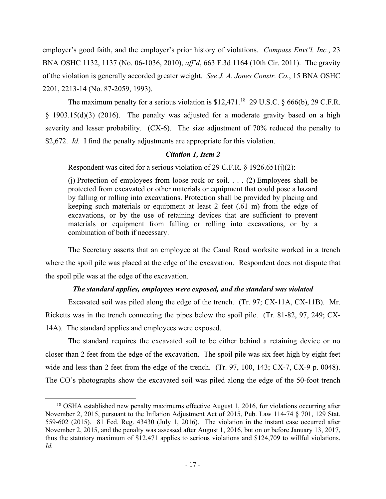employer's good faith, and the employer's prior history of violations. *Compass Envt'l, Inc.*, 23 BNA OSHC 1132, 1137 (No. 06-1036, 2010), *aff'd*, 663 F.3d 1164 (10th Cir. 2011). The gravity of the violation is generally accorded greater weight. *See J. A. Jones Constr. Co.*, 15 BNA OSHC 2201, 2213-14 (No. 87-2059, 1993).

The maximum penalty for a serious violation is  $$12,471$ .<sup>18</sup> 29 U.S.C.  $\delta$  666(b), 29 C.F.R. § 1903.15(d)(3) (2016). The penalty was adjusted for a moderate gravity based on a high severity and lesser probability. (CX-6). The size adjustment of 70% reduced the penalty to \$2,672. *Id.* I find the penalty adjustments are appropriate for this violation.

## *Citation 1, Item 2*

Respondent was cited for a serious violation of 29 C.F.R. § 1926.651(j)(2):

(i) Protection of employees from loose rock or soil.  $\ldots$  (2) Employees shall be protected from excavated or other materials or equipment that could pose a hazard by falling or rolling into excavations. Protection shall be provided by placing and keeping such materials or equipment at least 2 feet (.61 m) from the edge of excavations, or by the use of retaining devices that are sufficient to prevent materials or equipment from falling or rolling into excavations, or by a combination of both if necessary.

The Secretary asserts that an employee at the Canal Road worksite worked in a trench where the spoil pile was placed at the edge of the excavation. Respondent does not dispute that the spoil pile was at the edge of the excavation.

## *The standard applies, employees were exposed, and the standard was violated*

Excavated soil was piled along the edge of the trench. (Tr. 97; CX-11A, CX-11B). Mr. Ricketts was in the trench connecting the pipes below the spoil pile. (Tr. 81-82, 97, 249; CX-14A). The standard applies and employees were exposed.

The standard requires the excavated soil to be either behind a retaining device or no closer than 2 feet from the edge of the excavation. The spoil pile was six feet high by eight feet wide and less than 2 feet from the edge of the trench. (Tr. 97, 100, 143; CX-7, CX-9 p. 0048). The CO's photographs show the excavated soil was piled along the edge of the 50-foot trench

<span id="page-16-0"></span><sup>&</sup>lt;sup>18</sup> OSHA established new penalty maximums effective August 1, 2016, for violations occurring after November 2, 2015, pursuant to the Inflation Adjustment Act of 2015, Pub. Law 114-74 § 701, 129 Stat. 559-602 (2015). 81 Fed. Reg. 43430 (July 1, 2016). The violation in the instant case occurred after November 2, 2015, and the penalty was assessed after August 1, 2016, but on or before January 13, 2017, thus the statutory maximum of \$12,471 applies to serious violations and \$124,709 to willful violations. *Id.*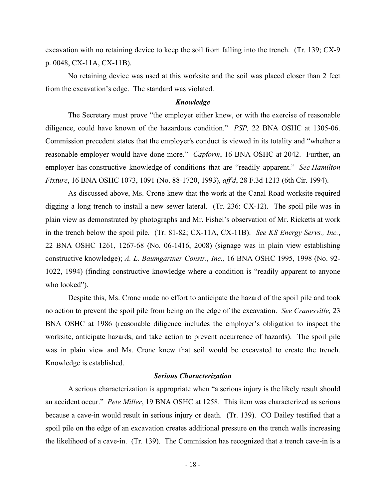excavation with no retaining device to keep the soil from falling into the trench. (Tr. 139; CX-9 p. 0048, CX-11A, CX-11B).

No retaining device was used at this worksite and the soil was placed closer than 2 feet from the excavation's edge. The standard was violated.

#### *Knowledge*

The Secretary must prove "the employer either knew, or with the exercise of reasonable diligence, could have known of the hazardous condition." *PSP,* 22 BNA OSHC at 1305-06. Commission precedent states that the employer's conduct is viewed in its totality and "whether a reasonable employer would have done more." *Capform*, 16 BNA OSHC at 2042. Further, an employer has constructive knowledge of conditions that are "readily apparent." *See Hamilton Fixture*, 16 BNA OSHC 1073, 1091 (No. 88-1720, 1993), *aff'd*, 28 F.3d 1213 (6th Cir. 1994).

As discussed above, Ms. Crone knew that the work at the Canal Road worksite required digging a long trench to install a new sewer lateral. (Tr. 236: CX-12). The spoil pile was in plain view as demonstrated by photographs and Mr. Fishel's observation of Mr. Ricketts at work in the trench below the spoil pile. (Tr. 81-82; CX-11A, CX-11B). *See KS Energy Servs., Inc.*, 22 BNA OSHC 1261, 1267-68 (No. 06-1416, 2008) (signage was in plain view establishing constructive knowledge); *A. L. Baumgartner Constr., Inc.,* 16 BNA OSHC 1995, 1998 (No. 92- 1022, 1994) (finding constructive knowledge where a condition is "readily apparent to anyone who looked").

Despite this, Ms. Crone made no effort to anticipate the hazard of the spoil pile and took no action to prevent the spoil pile from being on the edge of the excavation. *See Cranesville,* 23 BNA OSHC at 1986 (reasonable diligence includes the employer's obligation to inspect the worksite, anticipate hazards, and take action to prevent occurrence of hazards). The spoil pile was in plain view and Ms. Crone knew that soil would be excavated to create the trench. Knowledge is established.

### *Serious Characterization*

A serious characterization is appropriate when "a serious injury is the likely result should an accident occur." *Pete Miller*, 19 BNA OSHC at 1258. This item was characterized as serious because a cave-in would result in serious injury or death. (Tr. 139). CO Dailey testified that a spoil pile on the edge of an excavation creates additional pressure on the trench walls increasing the likelihood of a cave-in. (Tr. 139). The Commission has recognized that a trench cave-in is a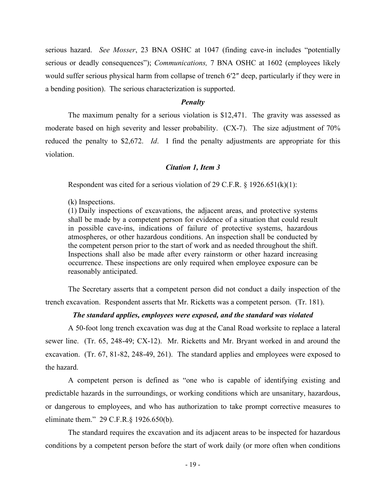serious hazard. *See Mosser*, 23 BNA OSHC at 1047 (finding cave-in includes "potentially serious or deadly consequences"); *Communications,* 7 BNA OSHC at 1602 (employees likely would suffer serious physical harm from collapse of trench 6′2″ deep, particularly if they were in a bending position). The serious characterization is supported.

#### *Penalty*

The maximum penalty for a serious violation is \$12,471. The gravity was assessed as moderate based on high severity and lesser probability. (CX-7). The size adjustment of 70% reduced the penalty to \$2,672. *Id*. I find the penalty adjustments are appropriate for this violation.

## *Citation 1, Item 3*

Respondent was cited for a serious violation of 29 C.F.R.  $\S$  1926.651(k)(1):

(k) Inspections.

(1) Daily inspections of excavations, the adjacent areas, and protective systems shall be made by a competent person for evidence of a situation that could result in possible cave-ins, indications of failure of protective systems, hazardous atmospheres, or other hazardous conditions. An inspection shall be conducted by the competent person prior to the start of work and as needed throughout the shift. Inspections shall also be made after every rainstorm or other hazard increasing occurrence. These inspections are only required when employee exposure can be reasonably anticipated.

The Secretary asserts that a competent person did not conduct a daily inspection of the trench excavation. Respondent asserts that Mr. Ricketts was a competent person. (Tr. 181).

## *The standard applies, employees were exposed, and the standard was violated*

 A 50-foot long trench excavation was dug at the Canal Road worksite to replace a lateral sewer line. (Tr. 65, 248-49; CX-12). Mr. Ricketts and Mr. Bryant worked in and around the excavation. (Tr. 67, 81-82, 248-49, 261). The standard applies and employees were exposed to the hazard.

A competent person is defined as "one who is capable of identifying existing and predictable hazards in the surroundings, or working conditions which are unsanitary, hazardous, or dangerous to employees, and who has authorization to take prompt corrective measures to eliminate them." 29 C.F.R.§ 1926.650(b).

The standard requires the excavation and its adjacent areas to be inspected for hazardous conditions by a competent person before the start of work daily (or more often when conditions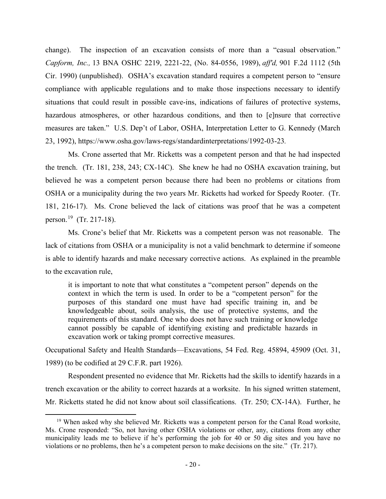change). The inspection of an excavation consists of more than a "casual observation." *Capform, Inc.,* 13 BNA OSHC 2219, 2221-22, (No. 84-0556, 1989), *aff'd,* 901 F.2d 1112 (5th Cir. 1990) (unpublished). OSHA's excavation standard requires a competent person to "ensure compliance with applicable regulations and to make those inspections necessary to identify situations that could result in possible cave-ins, indications of failures of protective systems, hazardous atmospheres, or other hazardous conditions, and then to [e]nsure that corrective measures are taken." U.S. Dep't of Labor, OSHA, Interpretation Letter to G. Kennedy (March 23, 1992), https://www.osha.gov/laws-regs/standardinterpretations/1992-03-23*.*

Ms. Crone asserted that Mr. Ricketts was a competent person and that he had inspected the trench. (Tr. 181, 238, 243; CX-14C). She knew he had no OSHA excavation training, but believed he was a competent person because there had been no problems or citations from OSHA or a municipality during the two years Mr. Ricketts had worked for Speedy Rooter. (Tr. 181, 216-17). Ms. Crone believed the lack of citations was proof that he was a competent person.[19](#page-19-0) (Tr. 217-18).

 Ms. Crone's belief that Mr. Ricketts was a competent person was not reasonable. The lack of citations from OSHA or a municipality is not a valid benchmark to determine if someone is able to identify hazards and make necessary corrective actions. As explained in the preamble to the excavation rule,

it is important to note that what constitutes a "competent person" depends on the context in which the term is used. In order to be a "competent person" for the purposes of this standard one must have had specific training in, and be knowledgeable about, soils analysis, the use of protective systems, and the requirements of this standard. One who does not have such training or knowledge cannot possibly be capable of identifying existing and predictable hazards in excavation work or taking prompt corrective measures.

Occupational Safety and Health Standards—Excavations, 54 Fed. Reg. 45894, 45909 (Oct. 31, 1989) (to be codified at 29 C.F.R. part 1926).

Respondent presented no evidence that Mr. Ricketts had the skills to identify hazards in a trench excavation or the ability to correct hazards at a worksite. In his signed written statement, Mr. Ricketts stated he did not know about soil classifications. (Tr. 250; CX-14A). Further, he

<span id="page-19-0"></span><sup>&</sup>lt;sup>19</sup> When asked why she believed Mr. Ricketts was a competent person for the Canal Road worksite, Ms. Crone responded: "So, not having other OSHA violations or other, any, citations from any other municipality leads me to believe if he's performing the job for 40 or 50 dig sites and you have no violations or no problems, then he's a competent person to make decisions on the site." (Tr. 217).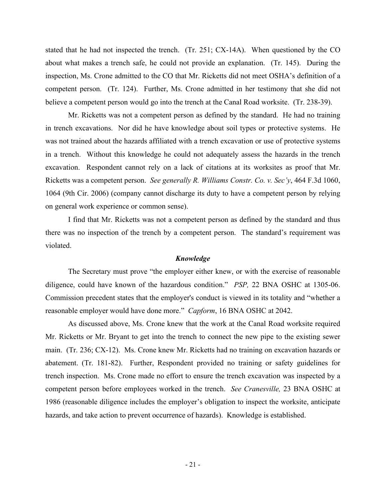stated that he had not inspected the trench. (Tr. 251; CX-14A). When questioned by the CO about what makes a trench safe, he could not provide an explanation. (Tr. 145). During the inspection, Ms. Crone admitted to the CO that Mr. Ricketts did not meet OSHA's definition of a competent person. (Tr. 124). Further, Ms. Crone admitted in her testimony that she did not believe a competent person would go into the trench at the Canal Road worksite. (Tr. 238-39).

Mr. Ricketts was not a competent person as defined by the standard. He had no training in trench excavations. Nor did he have knowledge about soil types or protective systems. He was not trained about the hazards affiliated with a trench excavation or use of protective systems in a trench. Without this knowledge he could not adequately assess the hazards in the trench excavation. Respondent cannot rely on a lack of citations at its worksites as proof that Mr. Ricketts was a competent person. *See generally R. Williams Constr. Co. v. Sec'y*, 464 F.3d 1060, 1064 (9th Cir. 2006) (company cannot discharge its duty to have a competent person by relying on general work experience or common sense).

 I find that Mr. Ricketts was not a competent person as defined by the standard and thus there was no inspection of the trench by a competent person. The standard's requirement was violated.

#### *Knowledge*

The Secretary must prove "the employer either knew, or with the exercise of reasonable diligence, could have known of the hazardous condition." *PSP,* 22 BNA OSHC at 1305-06. Commission precedent states that the employer's conduct is viewed in its totality and "whether a reasonable employer would have done more." *Capform*, 16 BNA OSHC at 2042.

As discussed above, Ms. Crone knew that the work at the Canal Road worksite required Mr. Ricketts or Mr. Bryant to get into the trench to connect the new pipe to the existing sewer main. (Tr. 236; CX-12). Ms. Crone knew Mr. Ricketts had no training on excavation hazards or abatement. (Tr. 181-82). Further, Respondent provided no training or safety guidelines for trench inspection. Ms. Crone made no effort to ensure the trench excavation was inspected by a competent person before employees worked in the trench. *See Cranesville,* 23 BNA OSHC at 1986 (reasonable diligence includes the employer's obligation to inspect the worksite, anticipate hazards, and take action to prevent occurrence of hazards). Knowledge is established.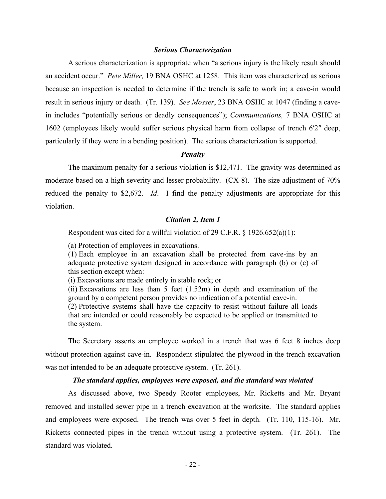## *Serious Characterization*

A serious characterization is appropriate when "a serious injury is the likely result should an accident occur." *Pete Miller,* 19 BNA OSHC at 1258. This item was characterized as serious because an inspection is needed to determine if the trench is safe to work in; a cave-in would result in serious injury or death. (Tr. 139). *See Mosser*, 23 BNA OSHC at 1047 (finding a cavein includes "potentially serious or deadly consequences"); *Communications,* 7 BNA OSHC at 1602 (employees likely would suffer serious physical harm from collapse of trench 6′2″ deep, particularly if they were in a bending position). The serious characterization is supported.

#### *Penalty*

The maximum penalty for a serious violation is \$12,471. The gravity was determined as moderate based on a high severity and lesser probability. (CX-8). The size adjustment of 70% reduced the penalty to \$2,672. *Id*. I find the penalty adjustments are appropriate for this violation.

## *Citation 2, Item 1*

Respondent was cited for a willful violation of 29 C.F.R.  $\frac{1}{2}$  1926.652(a)(1):

(a) Protection of employees in excavations.

(1) Each employee in an excavation shall be protected from cave-ins by an adequate protective system designed in accordance with paragraph (b) or (c) of this section except when:

(i) Excavations are made entirely in stable rock; or

(ii) Excavations are less than 5 feet (1.52m) in depth and examination of the ground by a competent person provides no indication of a potential cave-in.

(2) Protective systems shall have the capacity to resist without failure all loads that are intended or could reasonably be expected to be applied or transmitted to the system.

The Secretary asserts an employee worked in a trench that was 6 feet 8 inches deep without protection against cave-in. Respondent stipulated the plywood in the trench excavation was not intended to be an adequate protective system. (Tr. 261).

## *The standard applies, employees were exposed, and the standard was violated*

 As discussed above, two Speedy Rooter employees, Mr. Ricketts and Mr. Bryant removed and installed sewer pipe in a trench excavation at the worksite. The standard applies and employees were exposed. The trench was over 5 feet in depth. (Tr. 110, 115-16). Mr. Ricketts connected pipes in the trench without using a protective system. (Tr. 261). The standard was violated.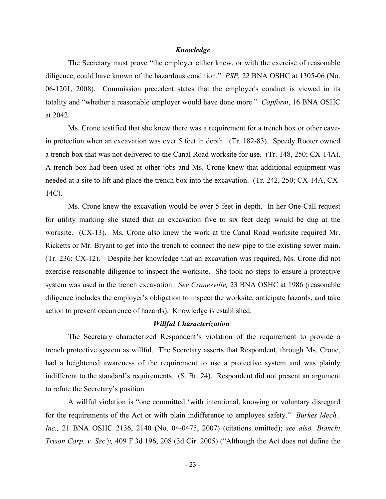## *Knowledge*

The Secretary must prove "the employer either knew, or with the exercise of reasonable diligence, could have known of the hazardous condition." *PSP,* 22 BNA OSHC at 1305-06 (No. 06-1201, 2008). Commission precedent states that the employer's conduct is viewed in its totality and "whether a reasonable employer would have done more." *Capform*, 16 BNA OSHC at 2042.

Ms. Crone testified that she knew there was a requirement for a trench box or other cavein protection when an excavation was over 5 feet in depth. (Tr. 182-83). Speedy Rooter owned a trench box that was not delivered to the Canal Road worksite for use. (Tr. 148, 250; CX-14A). A trench box had been used at other jobs and Ms. Crone knew that additional equipment was needed at a site to lift and place the trench box into the excavation. (Tr. 242, 250; CX-14A, CX-14C).

Ms. Crone knew the excavation would be over 5 feet in depth. In her One-Call request for utility marking she stated that an excavation five to six feet deep would be dug at the worksite. (CX-13). Ms. Crone also knew the work at the Canal Road worksite required Mr. Ricketts or Mr. Bryant to get into the trench to connect the new pipe to the existing sewer main. (Tr. 236; CX-12). Despite her knowledge that an excavation was required, Ms. Crone did not exercise reasonable diligence to inspect the worksite. She took no steps to ensure a protective system was used in the trench excavation. *See Cranesville,* 23 BNA OSHC at 1986 (reasonable diligence includes the employer's obligation to inspect the worksite, anticipate hazards, and take action to prevent occurrence of hazards). Knowledge is established.

## *Willful Characterization*

The Secretary characterized Respondent's violation of the requirement to provide a trench protective system as willful. The Secretary asserts that Respondent, through Ms. Crone, had a heightened awareness of the requirement to use a protective system and was plainly indifferent to the standard's requirements. (S. Br. 24). Respondent did not present an argument to refute the Secretary's position.

A willful violation is "one committed 'with intentional, knowing or voluntary disregard for the requirements of the Act or with plain indifference to employee safety." *Burkes Mech., Inc.,* 21 BNA OSHC 2136, 2140 (No. 04-0475, 2007) (citations omitted); *see also, Bianchi Trison Corp. v. Sec'y,* 409 F.3d 196, 208 (3d Cir. 2005) ("Although the Act does not define the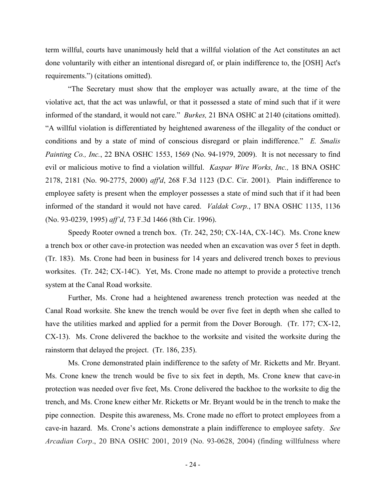term willful, courts have unanimously held that a willful violation of the Act constitutes an act done voluntarily with either an intentional disregard of, or plain indifference to, the [OSH] Act's requirements.") (citations omitted).

"The Secretary must show that the employer was actually aware, at the time of the violative act, that the act was unlawful, or that it possessed a state of mind such that if it were informed of the standard, it would not care." *Burkes,* 21 BNA OSHC at 2140 (citations omitted). "A willful violation is differentiated by heightened awareness of the illegality of the conduct or conditions and by a state of mind of conscious disregard or plain indifference." *E. Smalis Painting Co., Inc.*, 22 BNA OSHC 1553, 1569 (No. 94-1979, 2009). It is not necessary to find evil or malicious motive to find a violation willful. *Kaspar Wire Works, Inc.,* 18 BNA OSHC 2178, 2181 (No. 90-2775, 2000) *aff'd*, 268 F.3d 1123 (D.C. Cir. 2001). Plain indifference to employee safety is present when the employer possesses a state of mind such that if it had been informed of the standard it would not have cared. *Valdak Corp.*, 17 BNA OSHC 1135, 1136 (No. 93-0239, 1995) *aff'd*, 73 F.3d 1466 (8th Cir. 1996).

Speedy Rooter owned a trench box. (Tr. 242, 250; CX-14A, CX-14C). Ms. Crone knew a trench box or other cave-in protection was needed when an excavation was over 5 feet in depth. (Tr. 183). Ms. Crone had been in business for 14 years and delivered trench boxes to previous worksites. (Tr. 242; CX-14C). Yet, Ms. Crone made no attempt to provide a protective trench system at the Canal Road worksite.

Further, Ms. Crone had a heightened awareness trench protection was needed at the Canal Road worksite. She knew the trench would be over five feet in depth when she called to have the utilities marked and applied for a permit from the Dover Borough. (Tr. 177; CX-12, CX-13). Ms. Crone delivered the backhoe to the worksite and visited the worksite during the rainstorm that delayed the project. (Tr. 186, 235).

Ms. Crone demonstrated plain indifference to the safety of Mr. Ricketts and Mr. Bryant. Ms. Crone knew the trench would be five to six feet in depth, Ms. Crone knew that cave-in protection was needed over five feet, Ms. Crone delivered the backhoe to the worksite to dig the trench, and Ms. Crone knew either Mr. Ricketts or Mr. Bryant would be in the trench to make the pipe connection. Despite this awareness, Ms. Crone made no effort to protect employees from a cave-in hazard. Ms. Crone's actions demonstrate a plain indifference to employee safety. *See Arcadian Corp*., 20 BNA OSHC 2001, 2019 (No. 93-0628, 2004) (finding willfulness where